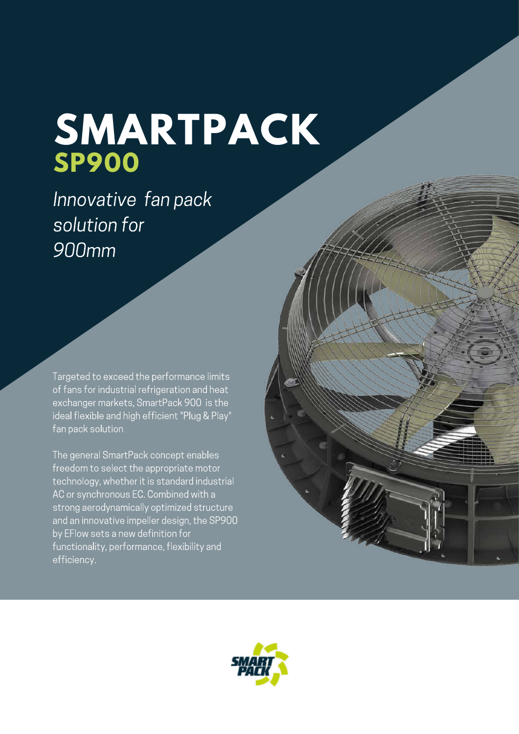## **SMARTPACK SP900**

Innovative fan pack solution for 900mm

Targeted to exceed the performance limits of fans for industrial refrigeration and heat exchanger markets, SmartPack 900 is the ideal flexible and high efficient "Plug & Play" fan pack solution.

The general SmartPack concept enables freedom to select the appropriate motor technology, whether it is standard industrial AC or synchronous EC. Combined with a strong aerodynamically optimized structure and an innovative impeller design, the SP900 by EFlow sets a new definition for functionality, performance, flexibility and efficiency.